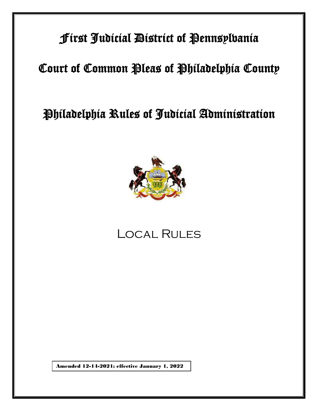## First Judicial District of Pennsylvania

# Court of Common Pleas of Philadelphia County

# Philadelphia Rules of Judicial Administration



# Local Rules

Amended 12-14-2021; effective January 1, 2022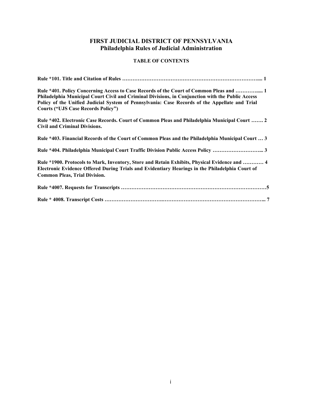## **FIRST JUDICIAL DISTRICT OF PENNSYLVANIA Philadelphia Rules of Judicial Administration**

## **TABLE OF CONTENTS**

| Rule *401. Policy Concerning Access to Case Records of the Court of Common Pleas and  1<br>Philadelphia Municipal Court Civil and Criminal Divisions, in Conjunction with the Public Access<br>Policy of the Unified Judicial System of Pennsylvania: Case Records of the Appellate and Trial<br><b>Courts ("UJS Case Records Policy")</b> |
|--------------------------------------------------------------------------------------------------------------------------------------------------------------------------------------------------------------------------------------------------------------------------------------------------------------------------------------------|
| Rule *402. Electronic Case Records. Court of Common Pleas and Philadelphia Municipal Court  2<br><b>Civil and Criminal Divisions.</b>                                                                                                                                                                                                      |
| Rule *403. Financial Records of the Court of Common Pleas and the Philadelphia Municipal Court  3                                                                                                                                                                                                                                          |
|                                                                                                                                                                                                                                                                                                                                            |
| Rule *1900. Protocols to Mark, Inventory, Store and Retain Exhibits, Physical Evidence and  4<br>Electronic Evidence Offered During Trials and Evidentiary Hearings in the Philadelphia Court of<br><b>Common Pleas, Trial Division.</b>                                                                                                   |
|                                                                                                                                                                                                                                                                                                                                            |
|                                                                                                                                                                                                                                                                                                                                            |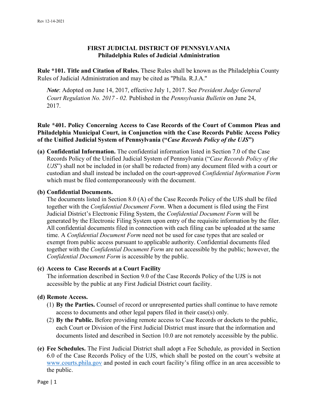## **FIRST JUDICIAL DISTRICT OF PENNSYLVANIA Philadelphia Rules of Judicial Administration**

**Rule \*101. Title and Citation of Rules.** These Rules shall be known as the Philadelphia County Rules of Judicial Administration and may be cited as ''Phila. R.J.A.''

*Note*: Adopted on June 14, 2017, effective July 1, 2017. See *President Judge General Court Regulation No. 2017 - 02.* Published in the *Pennsylvania Bulletin* on June 24, 2017.

## **Rule \*401. Policy Concerning Access to Case Records of the Court of Common Pleas and Philadelphia Municipal Court, in Conjunction with the Case Records Public Access Policy of the Unified Judicial System of Pennsylvania ("***Case Records Policy of the UJS***")**

**(a) Confidential Information.** The confidential information listed in Section 7.0 of the Case Records Policy of the Unified Judicial System of Pennsylvania ("*Case Records Policy of the UJS*") shall not be included in (or shall be redacted from) any document filed with a court or custodian and shall instead be included on the court-approved *Confidential Information Form* which must be filed contemporaneously with the document.

### **(b) Confidential Documents.**

The documents listed in Section 8.0 (A) of the Case Records Policy of the UJS shall be filed together with the *Confidential Document Form*. When a document is filed using the First Judicial District's Electronic Filing System, the *Confidential Document Form* will be generated by the Electronic Filing System upon entry of the requisite information by the filer. All confidential documents filed in connection with each filing can be uploaded at the same time. A *Confidential Document Form* need not be used for case types that are sealed or exempt from public access pursuant to applicable authority. Confidential documents filed together with the *Confidential Document Form* are not accessible by the public; however, the *Confidential Document Form* is accessible by the public.

### **(c) Access to Case Records at a Court Facility**

The information described in Section 9.0 of the Case Records Policy of the UJS is not accessible by the public at any First Judicial District court facility.

#### **(d) Remote Access.**

- (1) **By the Parties.** Counsel of record or unrepresented parties shall continue to have remote access to documents and other legal papers filed in their case(s) only.
- (2) **By the Public.** Before providing remote access to Case Records or dockets to the public, each Court or Division of the First Judicial District must insure that the information and documents listed and described in Section 10.0 are not remotely accessible by the public.
- **(e) Fee Schedules.** The First Judicial District shall adopt a Fee Schedule, as provided in Section 6.0 of the Case Records Policy of the UJS, which shall be posted on the court's website at [www.courts.phila.gov](http://www.courts.phila.gov/) and posted in each court facility's filing office in an area accessible to the public.

Page | 1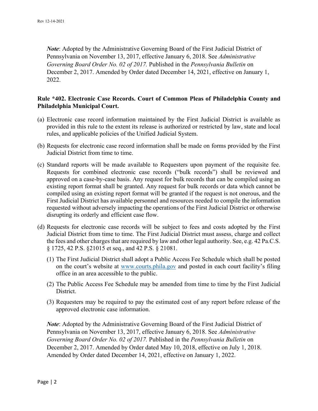*Note*: Adopted by the Administrative Governing Board of the First Judicial District of Pennsylvania on November 13, 2017, effective January 6, 2018. See *Administrative Governing Board Order No. 02 of 2017.* Published in the *Pennsylvania Bulletin* on December 2, 2017. Amended by Order dated December 14, 2021, effective on January 1, 2022.

### **Rule \*402. Electronic Case Records. Court of Common Pleas of Philadelphia County and Philadelphia Municipal Court.**

- (a) Electronic case record information maintained by the First Judicial District is available as provided in this rule to the extent its release is authorized or restricted by law, state and local rules, and applicable policies of the Unified Judicial System.
- (b) Requests for electronic case record information shall be made on forms provided by the First Judicial District from time to time.
- (c) Standard reports will be made available to Requesters upon payment of the requisite fee. Requests for combined electronic case records ("bulk records") shall be reviewed and approved on a case-by-case basis. Any request for bulk records that can be compiled using an existing report format shall be granted. Any request for bulk records or data which cannot be compiled using an existing report format will be granted if the request is not onerous, and the First Judicial District has available personnel and resources needed to compile the information requested without adversely impacting the operations of the First Judicial District or otherwise disrupting its orderly and efficient case flow.
- (d) Requests for electronic case records will be subject to fees and costs adopted by the First Judicial District from time to time. The First Judicial District must assess, charge and collect the fees and other charges that are required by law and other legal authority. See, e.g. 42 Pa.C.S. § 1725, 42 P.S. §21015 et seq., and 42 P.S. § 21081.
	- (1) The First Judicial District shall adopt a Public Access Fee Schedule which shall be posted on the court's website at [www.courts.phila.gov](http://www.courts.phila.gov/) and posted in each court facility's filing office in an area accessible to the public.
	- (2) The Public Access Fee Schedule may be amended from time to time by the First Judicial District.
	- (3) Requesters may be required to pay the estimated cost of any report before release of the approved electronic case information.

*Note*: Adopted by the Administrative Governing Board of the First Judicial District of Pennsylvania on November 13, 2017, effective January 6, 2018. See *Administrative Governing Board Order No. 02 of 2017.* Published in the *Pennsylvania Bulletin* on December 2, 2017. Amended by Order dated May 10, 2018, effective on July 1, 2018. Amended by Order dated December 14, 2021, effective on January 1, 2022.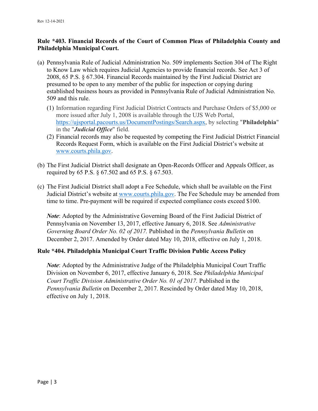## **Rule \*403. Financial Records of the Court of Common Pleas of Philadelphia County and Philadelphia Municipal Court.**

- (a) Pennsylvania Rule of Judicial Administration No. 509 implements Section 304 of The Right to Know Law which requires Judicial Agencies to provide financial records. See Act 3 of 2008, 65 P.S. § 67.304. Financial Records maintained by the First Judicial District are presumed to be open to any member of the public for inspection or copying during established business hours as provided in Pennsylvania Rule of Judicial Administration No. 509 and this rule.
	- (1) Information regarding First Judicial District Contracts and Purchase Orders of \$5,000 or more issued after July 1, 2008 is available through the UJS Web Portal, [https://ujsportal.pacourts.us/DocumentPostings/Search.aspx,](https://ujsportal.pacourts.us/DocumentPostings/Search.aspx) by selecting "**Philadelphia**" in the "*Judicial Office*" field.
	- (2) Financial records may also be requested by competing the First Judicial District Financial Records Request Form, which is available on the First Judicial District's website at [www.courts.phila.gov.](http://www.courts.phila.gov/)
- (b) The First Judicial District shall designate an Open-Records Officer and Appeals Officer, as required by 65 P.S. § 67.502 and 65 P.S. § 67.503.
- (c) The First Judicial District shall adopt a Fee Schedule, which shall be available on the First Judicial District's website at [www.courts.phila.gov.](http://www.courts.phila.gov/) The Fee Schedule may be amended from time to time. Pre-payment will be required if expected compliance costs exceed \$100.

*Note*: Adopted by the Administrative Governing Board of the First Judicial District of Pennsylvania on November 13, 2017, effective January 6, 2018. See *Administrative Governing Board Order No. 02 of 2017.* Published in the *Pennsylvania Bulletin* on December 2, 2017. Amended by Order dated May 10, 2018, effective on July 1, 2018.

## **Rule \*404. Philadelphia Municipal Court Traffic Division Public Access Policy**

*Note*: Adopted by the Administrative Judge of the Philadelphia Municipal Court Traffic Division on November 6, 2017, effective January 6, 2018. See *Philadelphia Municipal Court Traffic Division Administrative Order No. 01 of 2017.* Published in the *Pennsylvania Bulletin* on December 2, 2017. Rescinded by Order dated May 10, 2018, effective on July 1, 2018.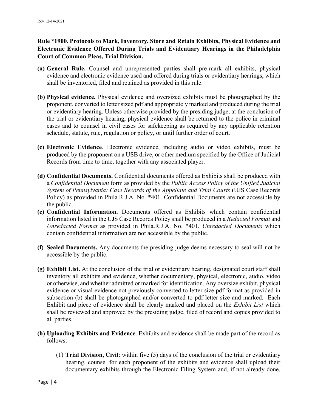## **Rule \*1900. Protocols to Mark, Inventory, Store and Retain Exhibits, Physical Evidence and Electronic Evidence Offered During Trials and Evidentiary Hearings in the Philadelphia Court of Common Pleas, Trial Division.**

- **(a) General Rule.** Counsel and unrepresented parties shall pre-mark all exhibits, physical evidence and electronic evidence used and offered during trials or evidentiary hearings, which shall be inventoried, filed and retained as provided in this rule.
- **(b) Physical evidence.** Physical evidence and oversized exhibits must be photographed by the proponent, converted to letter sized pdf and appropriately marked and produced during the trial or evidentiary hearing. Unless otherwise provided by the presiding judge, at the conclusion of the trial or evidentiary hearing, physical evidence shall be returned to the police in criminal cases and to counsel in civil cases for safekeeping as required by any applicable retention schedule, statute, rule, regulation or policy, or until further order of court.
- **(c) Electronic Evidence**. Electronic evidence, including audio or video exhibits, must be produced by the proponent on a USB drive, or other medium specified by the Office of Judicial Records from time to time, together with any associated player.
- **(d) Confidential Documents.** Confidential documents offered as Exhibits shall be produced with a *Confidential Document* form as provided by the *Public Access Policy of the Unified Judicial System of Pennsylvania: Case Records of the Appellate and Trial Courts* (UJS Case Records Policy) as provided in Phila.R.J.A. No. \*401. Confidential Documents are not accessible by the public.
- **(e) Confidential Information.** Documents offered as Exhibits which contain confidential information listed in the UJS Case Records Policy shall be produced in a *Redacted Format* and *Unredacted Format* as provided in Phila.R.J.A. No. \*401. *Unredacted Documents* which contain confidential information are not accessible by the public.
- **(f) Sealed Documents.** Any documents the presiding judge deems necessary to seal will not be accessible by the public.
- **(g) Exhibit List.** At the conclusion of the trial or evidentiary hearing, designated court staff shall inventory all exhibits and evidence, whether documentary, physical, electronic, audio, video or otherwise, and whether admitted or marked for identification. Any oversize exhibit, physical evidence or visual evidence not previously converted to letter size pdf format as provided in subsection (b) shall be photographed and/or converted to pdf letter size and marked. Each Exhibit and piece of evidence shall be clearly marked and placed on the *Exhibit List* which shall be reviewed and approved by the presiding judge, filed of record and copies provided to all parties.
- **(h) Uploading Exhibits and Evidence**. Exhibits and evidence shall be made part of the record as follows:
	- (1) **Trial Division, Civil**: within five (5) days of the conclusion of the trial or evidentiary hearing, counsel for each proponent of the exhibits and evidence shall upload their documentary exhibits through the Electronic Filing System and, if not already done,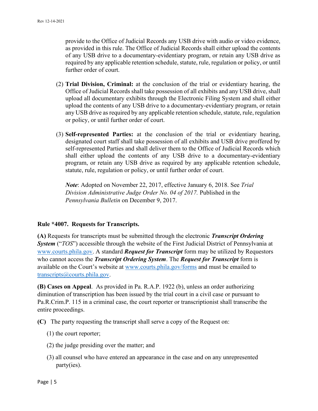provide to the Office of Judicial Records any USB drive with audio or video evidence, as provided in this rule. The Office of Judicial Records shall either upload the contents of any USB drive to a documentary-evidentiary program, or retain any USB drive as required by any applicable retention schedule, statute, rule, regulation or policy, or until further order of court.

- (2) **Trial Division, Criminal:** at the conclusion of the trial or evidentiary hearing, the Office of Judicial Records shall take possession of all exhibits and any USB drive, shall upload all documentary exhibits through the Electronic Filing System and shall either upload the contents of any USB drive to a documentary-evidentiary program, or retain any USB drive as required by any applicable retention schedule, statute, rule, regulation or policy, or until further order of court.
- (3) **Self-represented Parties:** at the conclusion of the trial or evidentiary hearing, designated court staff shall take possession of all exhibits and USB drive proffered by self-represented Parties and shall deliver them to the Office of Judicial Records which shall either upload the contents of any USB drive to a documentary-evidentiary program, or retain any USB drive as required by any applicable retention schedule, statute, rule, regulation or policy, or until further order of court.

*Note*: Adopted on November 22, 2017, effective January 6, 2018. See *Trial Division Administrative Judge Order No. 04 of 2017.* Published in the *Pennsylvania Bulletin* on December 9, 2017.

### **Rule \*4007. Requests for Transcripts.**

**(A)** Requests for transcripts must be submitted through the electronic *Transcript Ordering System* ("*TOS*") accessible through the website of the First Judicial District of Pennsylvania at [www.courts.phila.gov.](http://www.courts.phila.gov/) A standard *Request for Transcript* form may be utilized by Requestors who cannot access the *Transcript Ordering System*. The *Request for Transcript* form is available on the Court's website at [www.courts.phila.gov/](http://www.courts.phila.gov/)forms and must be emailed to [transcripts@courts.phila.gov.](mailto:transcripts@courts.phila.gov)

**(B) Cases on Appeal**. As provided in Pa. R.A.P. 1922 (b), unless an order authorizing diminution of transcription has been issued by the trial court in a civil case or pursuant to Pa.R.Crim.P. 115 in a criminal case, the court reporter or transcriptionist shall transcribe the entire proceedings.

**(C)** The party requesting the transcript shall serve a copy of the Request on:

- (1) the court reporter;
- (2) the judge presiding over the matter; and
- (3) all counsel who have entered an appearance in the case and on any unrepresented party(ies).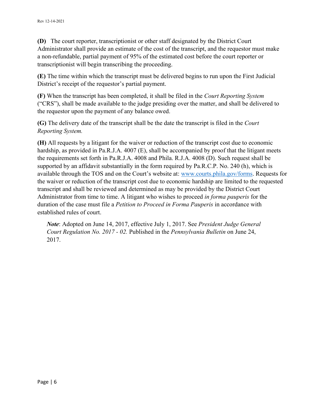**(D)** The court reporter, transcriptionist or other staff designated by the District Court Administrator shall provide an estimate of the cost of the transcript, and the requestor must make a non-refundable, partial payment of 95% of the estimated cost before the court reporter or transcriptionist will begin transcribing the proceeding.

**(E)** The time within which the transcript must be delivered begins to run upon the First Judicial District's receipt of the requestor's partial payment.

**(F)** When the transcript has been completed, it shall be filed in the *Court Reporting System* ("CRS"), shall be made available to the judge presiding over the matter, and shall be delivered to the requestor upon the payment of any balance owed.

**(G)** The delivery date of the transcript shall be the date the transcript is filed in the *Court Reporting System.*

**(H)** All requests by a litigant for the waiver or reduction of the transcript cost due to economic hardship, as provided in Pa.R.J.A. 4007 (E), shall be accompanied by proof that the litigant meets the requirements set forth in Pa.R.J.A. 4008 and Phila. R.J.A. 4008 (D). Such request shall be supported by an affidavit substantially in the form required by Pa.R.C.P. No. 240 (h), which is available through the TOS and on the Court's website at: [www.courts.phila.gov/forms.](http://www.courts.phila.gov/forms) Requests for the waiver or reduction of the transcript cost due to economic hardship are limited to the requested transcript and shall be reviewed and determined as may be provided by the District Court Administrator from time to time. A litigant who wishes to proceed *in forma pauperis* for the duration of the case must file a *Petition to Proceed in Forma Pauperis* in accordance with established rules of court.

*Note*: Adopted on June 14, 2017, effective July 1, 2017. See *President Judge General Court Regulation No. 2017 - 02.* Published in the *Pennsylvania Bulletin* on June 24, 2017.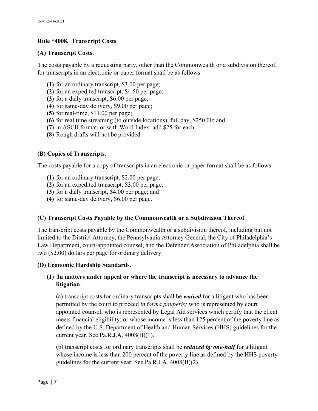### **Rule \*4008. Transcript Costs**

#### **(A) Transcript Costs.**

The costs payable by a requesting party, other than the Commonwealth or a subdivision thereof, for transcripts in an electronic or paper format shall be as follows:

- **(1)** for an ordinary transcript, \$3.00 per page;
- **(2)** for an expedited transcript, \$4.50 per page;
- **(3)** for a daily transcript, \$6.00 per page;
- **(4)** for same-day delivery, \$9.00 per page;
- **(5)** for real-time, \$11.00 per page;
- **(6)** for real time streaming (to outside locations), full day, \$250.00; and
- **(7)** in ASCII format, or with Word Index: add \$25 for each.
- **(8)** Rough drafts will not be provided.

### **(B) Copies of Transcripts.**

The costs payable for a copy of transcripts in an electronic or paper format shall be as follows

- **(1)** for an ordinary transcript, \$2.00 per page;
- **(2)** for an expedited transcript, \$3.00 per page;
- **(3)** for a daily transcript, \$4.00 per page; and
- **(4)** for same-day delivery, \$6.00 per page.

### **(C) Transcript Costs Payable by the Commonwealth or a Subdivision Thereof**.

The transcript costs payable by the Commonwealth or a subdivision thereof, including but not limited to the District Attorney, the Pennsylvania Attorney General, the City of Philadelphia's Law Department, court-appointed counsel, and the Defender Association of Philadelphia shall be two (\$2.00) dollars per page for ordinary delivery.

#### **(D) Economic Hardship Standards.**

## **(1) In matters under appeal or where the transcript is necessary to advance the litigation**:

(a) transcript costs for ordinary transcripts shall be *waived* for a litigant who has been permitted by the court to proceed *in forma pauperis;* who is represented by court appointed counsel; who is represented by Legal Aid services which certify that the client meets financial eligibility; or whose income is less than 125 percent of the poverty line as defined by the U.S. Department of Health and Human Services (HHS) guidelines for the current year. See Pa.R.J.A.  $4008(B)(1)$ .

(b) transcript costs for ordinary transcripts shall be *reduced by one-half* for a litigant whose income is less than 200 percent of the poverty line as defined by the HHS poverty guidelines for the current year. See Pa.R.J.A. 4008(B)(2).